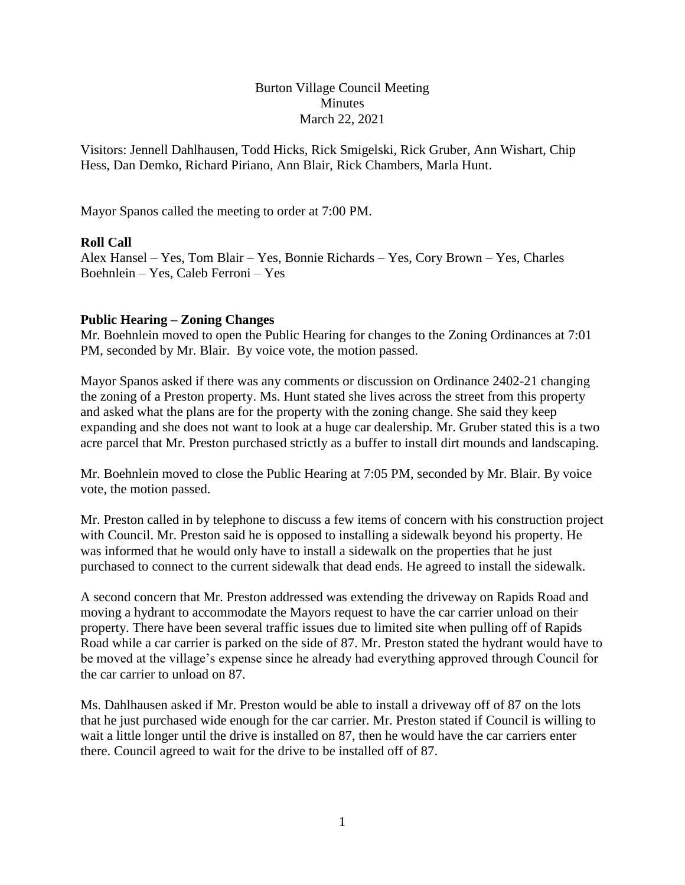Burton Village Council Meeting **Minutes** March 22, 2021

Visitors: Jennell Dahlhausen, Todd Hicks, Rick Smigelski, Rick Gruber, Ann Wishart, Chip Hess, Dan Demko, Richard Piriano, Ann Blair, Rick Chambers, Marla Hunt.

Mayor Spanos called the meeting to order at 7:00 PM.

### **Roll Call**

Alex Hansel – Yes, Tom Blair – Yes, Bonnie Richards – Yes, Cory Brown – Yes, Charles Boehnlein – Yes, Caleb Ferroni – Yes

#### **Public Hearing – Zoning Changes**

Mr. Boehnlein moved to open the Public Hearing for changes to the Zoning Ordinances at 7:01 PM, seconded by Mr. Blair. By voice vote, the motion passed.

Mayor Spanos asked if there was any comments or discussion on Ordinance 2402-21 changing the zoning of a Preston property. Ms. Hunt stated she lives across the street from this property and asked what the plans are for the property with the zoning change. She said they keep expanding and she does not want to look at a huge car dealership. Mr. Gruber stated this is a two acre parcel that Mr. Preston purchased strictly as a buffer to install dirt mounds and landscaping.

Mr. Boehnlein moved to close the Public Hearing at 7:05 PM, seconded by Mr. Blair. By voice vote, the motion passed.

Mr. Preston called in by telephone to discuss a few items of concern with his construction project with Council. Mr. Preston said he is opposed to installing a sidewalk beyond his property. He was informed that he would only have to install a sidewalk on the properties that he just purchased to connect to the current sidewalk that dead ends. He agreed to install the sidewalk.

A second concern that Mr. Preston addressed was extending the driveway on Rapids Road and moving a hydrant to accommodate the Mayors request to have the car carrier unload on their property. There have been several traffic issues due to limited site when pulling off of Rapids Road while a car carrier is parked on the side of 87. Mr. Preston stated the hydrant would have to be moved at the village's expense since he already had everything approved through Council for the car carrier to unload on 87.

Ms. Dahlhausen asked if Mr. Preston would be able to install a driveway off of 87 on the lots that he just purchased wide enough for the car carrier. Mr. Preston stated if Council is willing to wait a little longer until the drive is installed on 87, then he would have the car carriers enter there. Council agreed to wait for the drive to be installed off of 87.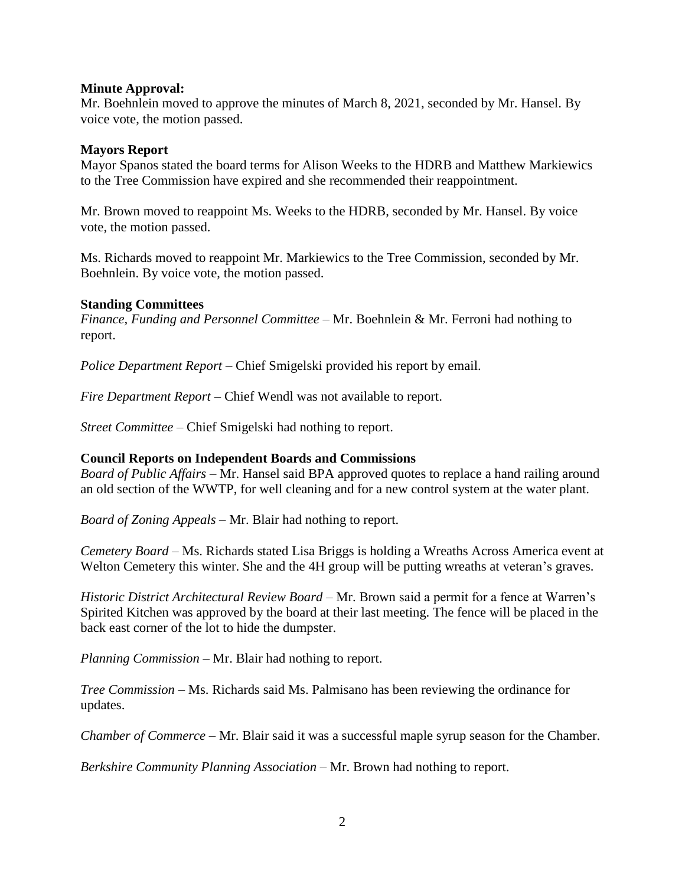#### **Minute Approval:**

Mr. Boehnlein moved to approve the minutes of March 8, 2021, seconded by Mr. Hansel. By voice vote, the motion passed.

#### **Mayors Report**

Mayor Spanos stated the board terms for Alison Weeks to the HDRB and Matthew Markiewics to the Tree Commission have expired and she recommended their reappointment.

Mr. Brown moved to reappoint Ms. Weeks to the HDRB, seconded by Mr. Hansel. By voice vote, the motion passed.

Ms. Richards moved to reappoint Mr. Markiewics to the Tree Commission, seconded by Mr. Boehnlein. By voice vote, the motion passed.

### **Standing Committees**

*Finance, Funding and Personnel Committee –* Mr. Boehnlein & Mr. Ferroni had nothing to report.

*Police Department Report –* Chief Smigelski provided his report by email.

*Fire Department Report –* Chief Wendl was not available to report.

*Street Committee –* Chief Smigelski had nothing to report.

### **Council Reports on Independent Boards and Commissions**

*Board of Public Affairs –* Mr. Hansel said BPA approved quotes to replace a hand railing around an old section of the WWTP, for well cleaning and for a new control system at the water plant.

*Board of Zoning Appeals –* Mr. Blair had nothing to report.

*Cemetery Board –* Ms. Richards stated Lisa Briggs is holding a Wreaths Across America event at Welton Cemetery this winter. She and the 4H group will be putting wreaths at veteran's graves.

*Historic District Architectural Review Board –* Mr. Brown said a permit for a fence at Warren's Spirited Kitchen was approved by the board at their last meeting. The fence will be placed in the back east corner of the lot to hide the dumpster.

*Planning Commission –* Mr. Blair had nothing to report.

*Tree Commission –* Ms. Richards said Ms. Palmisano has been reviewing the ordinance for updates.

*Chamber of Commerce –* Mr. Blair said it was a successful maple syrup season for the Chamber.

*Berkshire Community Planning Association –* Mr. Brown had nothing to report.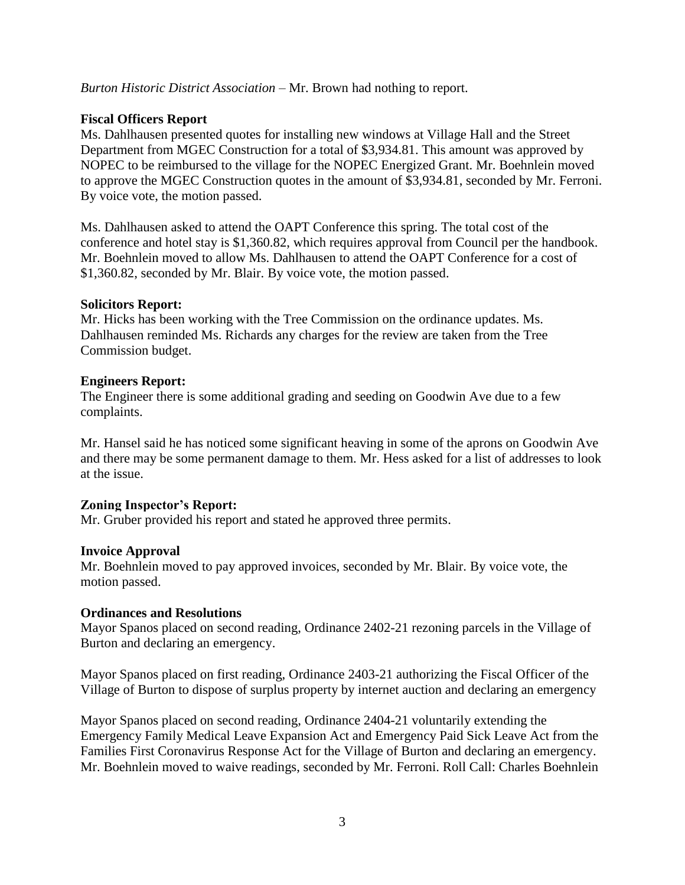*Burton Historic District Association –* Mr. Brown had nothing to report.

# **Fiscal Officers Report**

Ms. Dahlhausen presented quotes for installing new windows at Village Hall and the Street Department from MGEC Construction for a total of \$3,934.81. This amount was approved by NOPEC to be reimbursed to the village for the NOPEC Energized Grant. Mr. Boehnlein moved to approve the MGEC Construction quotes in the amount of \$3,934.81, seconded by Mr. Ferroni. By voice vote, the motion passed.

Ms. Dahlhausen asked to attend the OAPT Conference this spring. The total cost of the conference and hotel stay is \$1,360.82, which requires approval from Council per the handbook. Mr. Boehnlein moved to allow Ms. Dahlhausen to attend the OAPT Conference for a cost of \$1,360.82, seconded by Mr. Blair. By voice vote, the motion passed.

## **Solicitors Report:**

Mr. Hicks has been working with the Tree Commission on the ordinance updates. Ms. Dahlhausen reminded Ms. Richards any charges for the review are taken from the Tree Commission budget.

## **Engineers Report:**

The Engineer there is some additional grading and seeding on Goodwin Ave due to a few complaints.

Mr. Hansel said he has noticed some significant heaving in some of the aprons on Goodwin Ave and there may be some permanent damage to them. Mr. Hess asked for a list of addresses to look at the issue.

# **Zoning Inspector's Report:**

Mr. Gruber provided his report and stated he approved three permits.

# **Invoice Approval**

Mr. Boehnlein moved to pay approved invoices, seconded by Mr. Blair. By voice vote, the motion passed.

# **Ordinances and Resolutions**

Mayor Spanos placed on second reading, Ordinance 2402-21 rezoning parcels in the Village of Burton and declaring an emergency.

Mayor Spanos placed on first reading, Ordinance 2403-21 authorizing the Fiscal Officer of the Village of Burton to dispose of surplus property by internet auction and declaring an emergency

Mayor Spanos placed on second reading, Ordinance 2404-21 voluntarily extending the Emergency Family Medical Leave Expansion Act and Emergency Paid Sick Leave Act from the Families First Coronavirus Response Act for the Village of Burton and declaring an emergency. Mr. Boehnlein moved to waive readings, seconded by Mr. Ferroni. Roll Call: Charles Boehnlein